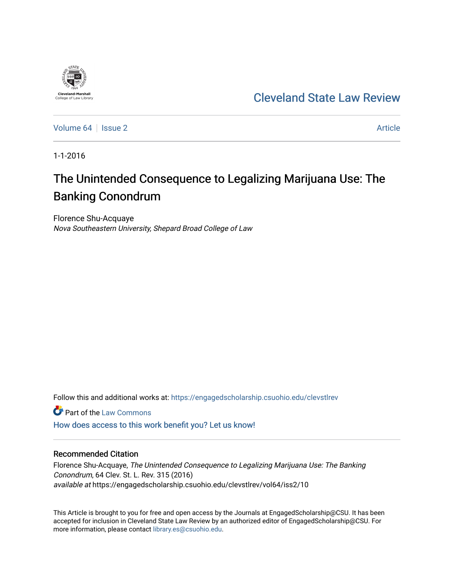

[Cleveland State Law Review](https://engagedscholarship.csuohio.edu/clevstlrev) 

[Volume 64](https://engagedscholarship.csuohio.edu/clevstlrev/vol64) | [Issue 2](https://engagedscholarship.csuohio.edu/clevstlrev/vol64/iss2) Article

1-1-2016

# The Unintended Consequence to Legalizing Marijuana Use: The Banking Conondrum

Florence Shu-Acquaye Nova Southeastern University, Shepard Broad College of Law

Follow this and additional works at: [https://engagedscholarship.csuohio.edu/clevstlrev](https://engagedscholarship.csuohio.edu/clevstlrev?utm_source=engagedscholarship.csuohio.edu%2Fclevstlrev%2Fvol64%2Fiss2%2F10&utm_medium=PDF&utm_campaign=PDFCoverPages)

**C** Part of the [Law Commons](http://network.bepress.com/hgg/discipline/578?utm_source=engagedscholarship.csuohio.edu%2Fclevstlrev%2Fvol64%2Fiss2%2F10&utm_medium=PDF&utm_campaign=PDFCoverPages)

[How does access to this work benefit you? Let us know!](http://library.csuohio.edu/engaged/)

# Recommended Citation

Florence Shu-Acquaye, The Unintended Consequence to Legalizing Marijuana Use: The Banking Conondrum, 64 Clev. St. L. Rev. 315 (2016) available at https://engagedscholarship.csuohio.edu/clevstlrev/vol64/iss2/10

This Article is brought to you for free and open access by the Journals at EngagedScholarship@CSU. It has been accepted for inclusion in Cleveland State Law Review by an authorized editor of EngagedScholarship@CSU. For more information, please contact [library.es@csuohio.edu](mailto:library.es@csuohio.edu).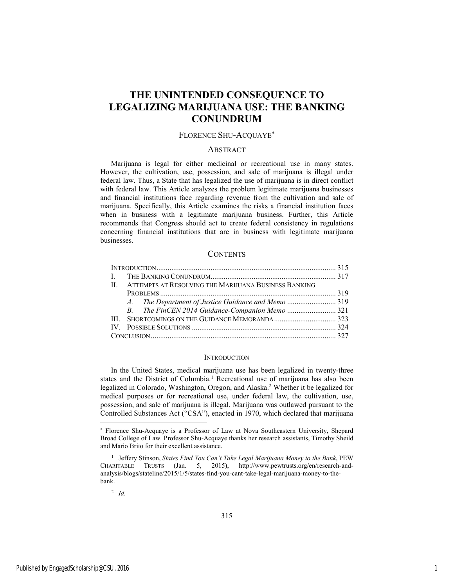# **THE UNINTENDED CONSEQUENCE TO LEGALIZING MARIJUANA USE: THE BANKING CONUNDRUM**

# FLORENCE SHU-ACQUAYE

#### **ABSTRACT**

Marijuana is legal for either medicinal or recreational use in many states. However, the cultivation, use, possession, and sale of marijuana is illegal under federal law. Thus, a State that has legalized the use of marijuana is in direct conflict with federal law. This Article analyzes the problem legitimate marijuana businesses and financial institutions face regarding revenue from the cultivation and sale of marijuana. Specifically, this Article examines the risks a financial institution faces when in business with a legitimate marijuana business. Further, this Article recommends that Congress should act to create federal consistency in regulations concerning financial institutions that are in business with legitimate marijuana businesses.

## **CONTENTS**

|  | II. ATTEMPTS AT RESOLVING THE MARIJUANA BUSINESS BANKING |  |  |
|--|----------------------------------------------------------|--|--|
|  |                                                          |  |  |
|  |                                                          |  |  |
|  |                                                          |  |  |
|  |                                                          |  |  |
|  |                                                          |  |  |
|  |                                                          |  |  |

#### **INTRODUCTION**

In the United States, medical marijuana use has been legalized in twenty-three states and the District of Columbia.<sup>1</sup> Recreational use of marijuana has also been legalized in Colorado, Washington, Oregon, and Alaska.<sup>2</sup> Whether it be legalized for medical purposes or for recreational use, under federal law, the cultivation, use, possession, and sale of marijuana is illegal. Marijuana was outlawed pursuant to the Controlled Substances Act ("CSA"), enacted in 1970, which declared that marijuana

2 *Id.* 

l

<sup>\*</sup>  Florence Shu-Acquaye is a Professor of Law at Nova Southeastern University, Shepard Broad College of Law. Professor Shu-Acquaye thanks her research assistants, Timothy Sheild and Mario Brito for their excellent assistance.

<sup>&</sup>lt;sup>1</sup> Jeffery Stinson, *States Find You Can't Take Legal Marijuana Money to the Bank*, PEW CHARITABLE TRUSTS (Jan. 5, 2015), http://www.pewtrusts.org/en/research-andanalysis/blogs/stateline/2015/1/5/states-find-you-cant-take-legal-marijuana-money-to-thebank.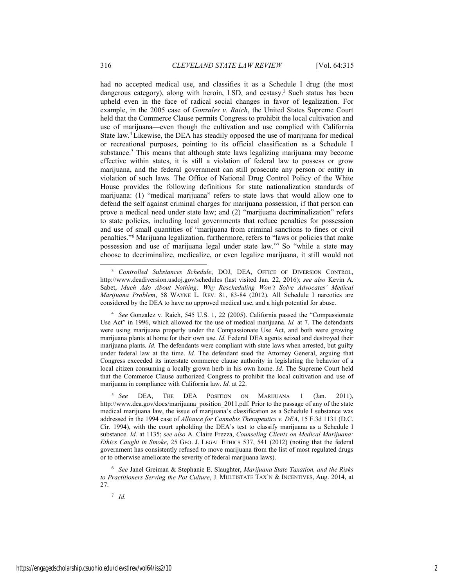had no accepted medical use, and classifies it as a Schedule I drug (the most dangerous category), along with heroin, LSD, and ecstasy.<sup>3</sup> Such status has been upheld even in the face of radical social changes in favor of legalization. For example, in the 2005 case of *Gonzales v. Raich*, the United States Supreme Court held that the Commerce Clause permits Congress to prohibit the local cultivation and use of marijuana—even though the cultivation and use complied with California State law.4 Likewise, the DEA has steadily opposed the use of marijuana for medical or recreational purposes, pointing to its official classification as a Schedule I substance.<sup>5</sup> This means that although state laws legalizing marijuana may become effective within states, it is still a violation of federal law to possess or grow marijuana, and the federal government can still prosecute any person or entity in violation of such laws. The Office of National Drug Control Policy of the White House provides the following definitions for state nationalization standards of marijuana: (1) "medical marijuana" refers to state laws that would allow one to defend the self against criminal charges for marijuana possession, if that person can prove a medical need under state law; and (2) "marijuana decriminalization" refers to state policies, including local governments that reduce penalties for possession and use of small quantities of "marijuana from criminal sanctions to fines or civil penalties."6 Marijuana legalization, furthermore, refers to "laws or policies that make possession and use of marijuana legal under state law."7 So "while a state may choose to decriminalize, medicalize, or even legalize marijuana, it still would not

7 *Id.*

 <sup>3</sup> *Controlled Substances Schedule*, DOJ, DEA, OFFICE OF DIVERSION CONTROL, http://www.deadiversion.usdoj.gov/schedules (last visited Jan. 22, 2016); *see also* Kevin A. Sabet, *Much Ado About Nothing: Why Rescheduling Won't Solve Advocates' Medical Marijuana Problem*, 58 WAYNE L. REV. 81, 83-84 (2012). All Schedule I narcotics are considered by the DEA to have no approved medical use, and a high potential for abuse.

<sup>4</sup> *See* Gonzalez v. Raich, 545 U.S. 1, 22 (2005). California passed the "Compassionate Use Act" in 1996, which allowed for the use of medical marijuana. *Id.* at 7. The defendants were using marijuana properly under the Compassionate Use Act, and both were growing marijuana plants at home for their own use. *Id.* Federal DEA agents seized and destroyed their marijuana plants. *Id.* The defendants were compliant with state laws when arrested, but guilty under federal law at the time. *Id.* The defendant sued the Attorney General, arguing that Congress exceeded its interstate commerce clause authority in legislating the behavior of a local citizen consuming a locally grown herb in his own home. *Id.* The Supreme Court held that the Commerce Clause authorized Congress to prohibit the local cultivation and use of marijuana in compliance with California law. *Id.* at 22.

<sup>5</sup> *See* DEA, THE DEA POSITION ON MARIJUANA 1 (Jan. 2011), http://www.dea.gov/docs/marijuana\_position\_2011.pdf. Prior to the passage of any of the state medical marijuana law, the issue of marijuana's classification as a Schedule I substance was addressed in the 1994 case of *Alliance for Cannabis Therapeutics v. DEA*, 15 F.3d 1131 (D.C. Cir. 1994), with the court upholding the DEA's test to classify marijuana as a Schedule I substance. *Id.* at 1135; *see also* A. Claire Frezza, *Counseling Clients on Medical Marijuana: Ethics Caught in Smoke*, 25 GEO. J. LEGAL ETHICS 537, 541 (2012) (noting that the federal government has consistently refused to move marijuana from the list of most regulated drugs or to otherwise ameliorate the severity of federal marijuana laws).

<sup>6</sup> *See* Janel Greiman & Stephanie E. Slaughter, *Marijuana State Taxation, and the Risks to Practitioners Serving the Pot Culture*, J. MULTISTATE TAX'N & INCENTIVES, Aug. 2014, at 27.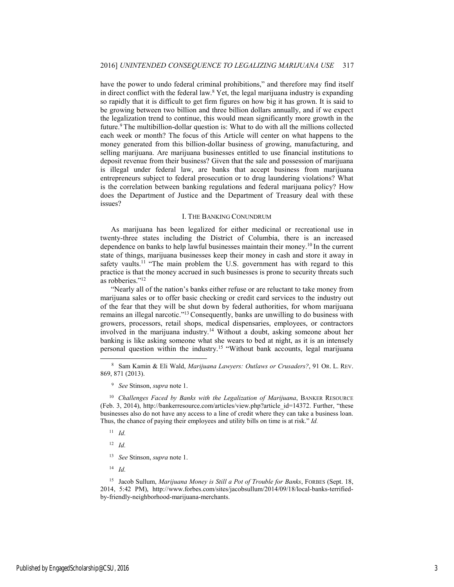have the power to undo federal criminal prohibitions," and therefore may find itself in direct conflict with the federal law.8 Yet, the legal marijuana industry is expanding so rapidly that it is difficult to get firm figures on how big it has grown. It is said to be growing between two billion and three billion dollars annually, and if we expect the legalization trend to continue, this would mean significantly more growth in the future.<sup>9</sup> The multibillion-dollar question is: What to do with all the millions collected each week or month? The focus of this Article will center on what happens to the money generated from this billion-dollar business of growing, manufacturing, and selling marijuana. Are marijuana businesses entitled to use financial institutions to deposit revenue from their business? Given that the sale and possession of marijuana is illegal under federal law, are banks that accept business from marijuana entrepreneurs subject to federal prosecution or to drug laundering violations? What is the correlation between banking regulations and federal marijuana policy? How does the Department of Justice and the Department of Treasury deal with these issues?

#### I. THE BANKING CONUNDRUM

As marijuana has been legalized for either medicinal or recreational use in twenty-three states including the District of Columbia, there is an increased dependence on banks to help lawful businesses maintain their money.10 In the current state of things, marijuana businesses keep their money in cash and store it away in safety vaults.<sup>11</sup> "The main problem the U.S. government has with regard to this practice is that the money accrued in such businesses is prone to security threats such as robberies."12

"Nearly all of the nation's banks either refuse or are reluctant to take money from marijuana sales or to offer basic checking or credit card services to the industry out of the fear that they will be shut down by federal authorities, for whom marijuana remains an illegal narcotic."13 Consequently, banks are unwilling to do business with growers, processors, retail shops, medical dispensaries, employees, or contractors involved in the marijuana industry.14 Without a doubt, asking someone about her banking is like asking someone what she wears to bed at night, as it is an intensely personal question within the industry.15 "Without bank accounts, legal marijuana

12 *Id.*

14 *Id.*

15 Jacob Sullum, *Marijuana Money is Still a Pot of Trouble for Banks*, FORBES (Sept. 18, 2014, 5:42 PM), http://www.forbes.com/sites/jacobsullum/2014/09/18/local-banks-terrifiedby-friendly-neighborhood-marijuana-merchants.

 <sup>8</sup> Sam Kamin & Eli Wald, *Marijuana Lawyers: Outlaws or Crusaders?*, 91 OR. L. REV. 869, 871 (2013).

<sup>9</sup> *See* Stinson, *supra* note 1.

<sup>&</sup>lt;sup>10</sup> Challenges Faced by Banks with the Legalization of Marijuana, BANKER RESOURCE (Feb. 3, 2014), http://bankerresource.com/articles/view.php?article\_id=14372. Further, "these businesses also do not have any access to a line of credit where they can take a business loan. Thus, the chance of paying their employees and utility bills on time is at risk." *Id.*

<sup>11</sup> *Id.*

<sup>13</sup> *See* Stinson, *supra* note 1.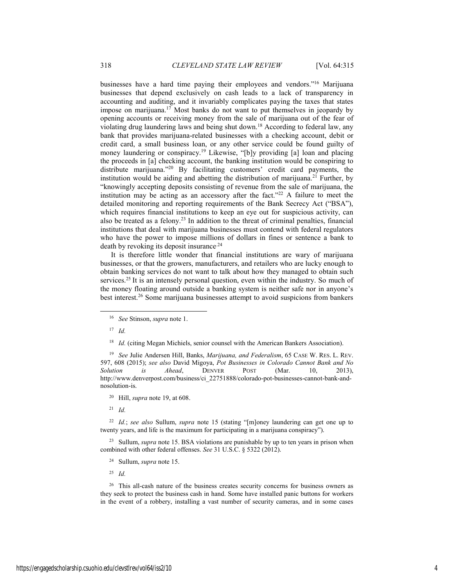businesses have a hard time paying their employees and vendors."16 Marijuana businesses that depend exclusively on cash leads to a lack of transparency in accounting and auditing, and it invariably complicates paying the taxes that states impose on marijuana.<sup>17</sup> Most banks do not want to put themselves in jeopardy by opening accounts or receiving money from the sale of marijuana out of the fear of violating drug laundering laws and being shut down.18 According to federal law, any bank that provides marijuana-related businesses with a checking account, debit or credit card, a small business loan, or any other service could be found guilty of money laundering or conspiracy.<sup>19</sup> Likewise, "[b]y providing [a] loan and placing the proceeds in [a] checking account, the banking institution would be conspiring to distribute marijuana."20 By facilitating customers' credit card payments, the institution would be aiding and abetting the distribution of marijuana.<sup>21</sup> Further, by "knowingly accepting deposits consisting of revenue from the sale of marijuana, the institution may be acting as an accessory after the fact."<sup>22</sup> A failure to meet the detailed monitoring and reporting requirements of the Bank Secrecy Act ("BSA"), which requires financial institutions to keep an eye out for suspicious activity, can also be treated as a felony.23 In addition to the threat of criminal penalties, financial institutions that deal with marijuana businesses must contend with federal regulators who have the power to impose millions of dollars in fines or sentence a bank to death by revoking its deposit insurance<sup>24</sup>

It is therefore little wonder that financial institutions are wary of marijuana businesses, or that the growers, manufacturers, and retailers who are lucky enough to obtain banking services do not want to talk about how they managed to obtain such services.<sup>25</sup> It is an intensely personal question, even within the industry. So much of the money floating around outside a banking system is neither safe nor in anyone's best interest.26 Some marijuana businesses attempt to avoid suspicions from bankers

19 *See* Julie Andersen Hill, Banks, *Marijuana, and Federalism*, 65 CASE W. RES. L. REV. 597, 608 (2015); *see also* David Migoya, *Pot Businesses in Colorado Cannot Bank and No Solution is Ahead*, DENVER POST (Mar. 10, 2013), http://www.denverpost.com/business/ci\_22751888/colorado-pot-businesses-cannot-bank-andnosolution-is.

21 *Id.*

22 *Id.*; *see also* Sullum, *supra* note 15 (stating "[m]oney laundering can get one up to twenty years, and life is the maximum for participating in a marijuana conspiracy").

23 Sullum, *supra* note 15. BSA violations are punishable by up to ten years in prison when combined with other federal offenses. *See* 31 U.S.C. § 5322 (2012).

24 Sullum, *supra* note 15.

25 *Id.*

<sup>26</sup> This all-cash nature of the business creates security concerns for business owners as they seek to protect the business cash in hand. Some have installed panic buttons for workers in the event of a robbery, installing a vast number of security cameras, and in some cases

 <sup>16</sup> *See* Stinson, *supra* note 1.

<sup>17</sup> *Id.*

<sup>&</sup>lt;sup>18</sup> *Id.* (citing Megan Michiels, senior counsel with the American Bankers Association).

<sup>20</sup> Hill, *supra* note 19, at 608.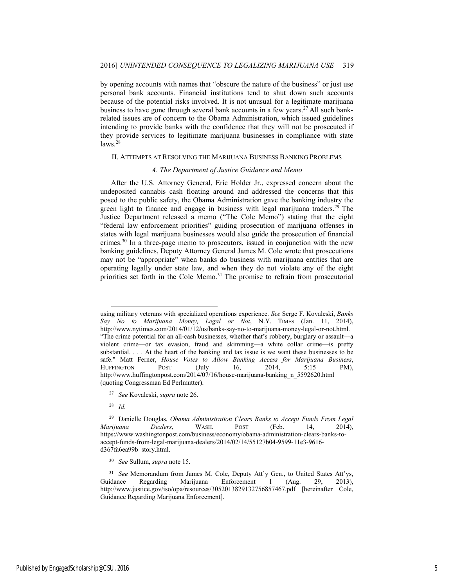by opening accounts with names that "obscure the nature of the business" or just use personal bank accounts. Financial institutions tend to shut down such accounts because of the potential risks involved. It is not unusual for a legitimate marijuana business to have gone through several bank accounts in a few years.<sup>27</sup> All such bankrelated issues are of concern to the Obama Administration, which issued guidelines intending to provide banks with the confidence that they will not be prosecuted if they provide services to legitimate marijuana businesses in compliance with state laws.28

#### II. ATTEMPTS AT RESOLVING THE MARIJUANA BUSINESS BANKING PROBLEMS

#### *A. The Department of Justice Guidance and Memo*

After the U.S. Attorney General, Eric Holder Jr., expressed concern about the undeposited cannabis cash floating around and addressed the concerns that this posed to the public safety, the Obama Administration gave the banking industry the green light to finance and engage in business with legal marijuana traders.<sup>29</sup> The Justice Department released a memo ("The Cole Memo") stating that the eight "federal law enforcement priorities" guiding prosecution of marijuana offenses in states with legal marijuana businesses would also guide the prosecution of financial crimes.30 In a three-page memo to prosecutors, issued in conjunction with the new banking guidelines, Deputy Attorney General James M. Cole wrote that prosecutions may not be "appropriate" when banks do business with marijuana entities that are operating legally under state law, and when they do not violate any of the eight priorities set forth in the Cole Memo.<sup>31</sup> The promise to refrain from prosecutorial

 $\overline{a}$ 

using military veterans with specialized operations experience. *See* Serge F. Kovaleski, *Banks Say No to Marijuana Money, Legal or Not*, N.Y. TIMES (Jan. 11, 2014), http://www.nytimes.com/2014/01/12/us/banks-say-no-to-marijuana-money-legal-or-not.html. "The crime potential for an all-cash businesses, whether that's robbery, burglary or assault—a violent crime—or tax evasion, fraud and skimming—a white collar crime—is pretty substantial. . . . At the heart of the banking and tax issue is we want these businesses to be safe." Matt Ferner, *House Votes to Allow Banking Access for Marijuana Business*, HUFFINGTON POST (July 16, 2014, 5:15 PM), http://www.huffingtonpost.com/2014/07/16/house-marijuana-banking\_n\_5592620.html (quoting Congressman Ed Perlmutter).

<sup>27</sup> *See* Kovaleski, *supra* note 26.

<sup>28</sup> *Id.*

<sup>29</sup> Danielle Douglas, *Obama Administration Clears Banks to Accept Funds From Legal Marijuana Dealers*, WASH. POST (Feb. 14, 2014), https://www.washingtonpost.com/business/economy/obama-administration-clears-banks-toaccept-funds-from-legal-marijuana-dealers/2014/02/14/55127b04-9599-11e3-9616 d367fa6ea99b\_story.html.

<sup>30</sup> *See* Sullum, *supra* note 15.

<sup>31</sup> *See* Memorandum from James M. Cole, Deputy Att'y Gen., to United States Att'ys, Guidance Regarding Marijuana Enforcement 1 (Aug. 29, 2013), http://www.justice.gov/iso/opa/resources/3052013829132756857467.pdf [hereinafter Cole, Guidance Regarding Marijuana Enforcement].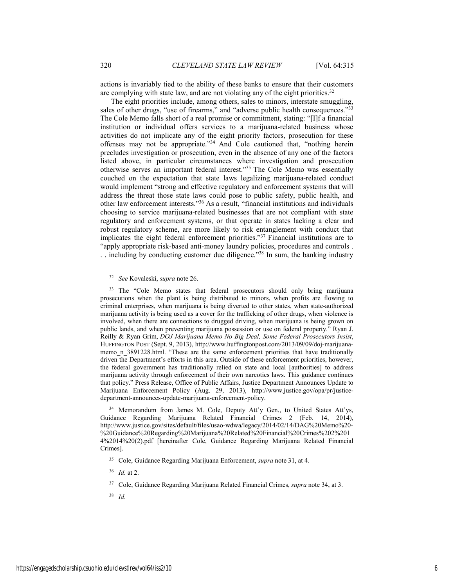actions is invariably tied to the ability of these banks to ensure that their customers are complying with state law, and are not violating any of the eight priorities.<sup>32</sup>

The eight priorities include, among others, sales to minors, interstate smuggling, sales of other drugs, "use of firearms," and "adverse public health consequences."<sup>33</sup> The Cole Memo falls short of a real promise or commitment, stating: "[I]f a financial institution or individual offers services to a marijuana-related business whose activities do not implicate any of the eight priority factors, prosecution for these offenses may not be appropriate."34 And Cole cautioned that, "nothing herein precludes investigation or prosecution, even in the absence of any one of the factors listed above, in particular circumstances where investigation and prosecution otherwise serves an important federal interest."35 The Cole Memo was essentially couched on the expectation that state laws legalizing marijuana-related conduct would implement "strong and effective regulatory and enforcement systems that will address the threat those state laws could pose to public safety, public health, and other law enforcement interests."36 As a result, "financial institutions and individuals choosing to service marijuana-related businesses that are not compliant with state regulatory and enforcement systems, or that operate in states lacking a clear and robust regulatory scheme, are more likely to risk entanglement with conduct that implicates the eight federal enforcement priorities."37 Financial institutions are to "apply appropriate risk-based anti-money laundry policies, procedures and controls .

. . including by conducting customer due diligence."38 In sum, the banking industry

<sup>34</sup> Memorandum from James M. Cole, Deputy Att'y Gen., to United States Att'ys, Guidance Regarding Marijuana Related Financial Crimes 2 (Feb. 14, 2014), http://www.justice.gov/sites/default/files/usao-wdwa/legacy/2014/02/14/DAG%20Memo%20- %20Guidance%20Regarding%20Marijuana%20Related%20Financial%20Crimes%202%201 4%2014%20(2).pdf [hereinafter Cole, Guidance Regarding Marijuana Related Financial Crimes].

 <sup>32</sup> *See* Kovaleski, *supra* note 26.

<sup>&</sup>lt;sup>33</sup> The "Cole Memo states that federal prosecutors should only bring marijuana prosecutions when the plant is being distributed to minors, when profits are flowing to criminal enterprises, when marijuana is being diverted to other states, when state-authorized marijuana activity is being used as a cover for the trafficking of other drugs, when violence is involved, when there are connections to drugged driving, when marijuana is being grown on public lands, and when preventing marijuana possession or use on federal property." Ryan J. Reilly & Ryan Grim, *DOJ Marijuana Memo No Big Deal, Some Federal Prosecutors Insist*, HUFFINGTON POST (Sept. 9, 2013), http://www.huffingtonpost.com/2013/09/09/doj-marijuanamemo n 3891228.html. "These are the same enforcement priorities that have traditionally driven the Department's efforts in this area. Outside of these enforcement priorities, however, the federal government has traditionally relied on state and local [authorities] to address marijuana activity through enforcement of their own narcotics laws. This guidance continues that policy." Press Release, Office of Public Affairs, Justice Department Announces Update to Marijuana Enforcement Policy (Aug. 29, 2013), http://www.justice.gov/opa/pr/justicedepartment-announces-update-marijuana-enforcement-policy.

<sup>35</sup> Cole, Guidance Regarding Marijuana Enforcement, *supra* note 31, at 4.

<sup>36</sup> *Id.* at 2.

<sup>37</sup> Cole, Guidance Regarding Marijuana Related Financial Crimes, *supra* note 34, at 3.

<sup>38</sup> *Id.*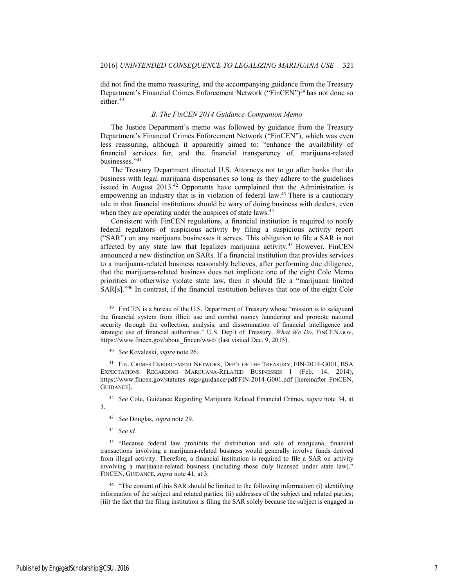did not find the memo reassuring, and the accompanying guidance from the Treasury Department's Financial Crimes Enforcement Network ("FinCEN")<sup>39</sup> has not done so either.<sup>40</sup>

## *B. The FinCEN 2014 Guidance-Companion Memo*

The Justice Department's memo was followed by guidance from the Treasury Department's Financial Crimes Enforcement Network ("FinCEN"), which was even less reassuring, although it apparently aimed to: "enhance the availability of financial services for, and the financial transparency of, marijuana-related businesses."41

The Treasury Department directed U.S. Attorneys not to go after banks that do business with legal marijuana dispensaries so long as they adhere to the guidelines issued in August  $2013<sup>42</sup>$  Opponents have complained that the Administration is empowering an industry that is in violation of federal law.43 There is a cautionary tale in that financial institutions should be wary of doing business with dealers, even when they are operating under the auspices of state laws.<sup>44</sup>

Consistent with FinCEN regulations, a financial institution is required to notify federal regulators of suspicious activity by filing a suspicious activity report ("SAR") on any marijuana businesses it serves. This obligation to file a SAR is not affected by any state law that legalizes marijuana activity.45 However, FinCEN announced a new distinction on SARs. If a financial institution that provides services to a marijuana-related business reasonably believes, after performing due diligence, that the marijuana-related business does not implicate one of the eight Cole Memo priorities or otherwise violate state law, then it should file a "marijuana limited SAR[s]."46 In contrast, if the financial institution believes that one of the eight Cole

41 FIN. CRIMES ENFORCEMENT NETWORK, DEP'T OF THE TREASURY, FIN-2014-G001, BSA EXPECTATIONS REGARDING MARIJUANA-RELATED BUSINESSES 1 (Feb. 14, 2014), https://www.fincen.gov/statutes\_regs/guidance/pdf/FIN-2014-G001.pdf [hereinafter FINCEN, GUIDANCE].

42 *See* Cole, Guidance Regarding Marijuana Related Financial Crimes, *supra* note 34, at 3.

- 43 *See* Douglas, *supra* note 29.
- 44 *See id.*

46 "The content of this SAR should be limited to the following information: (i) identifying information of the subject and related parties; (ii) addresses of the subject and related parties; (iii) the fact that the filing institution is filing the SAR solely because the subject is engaged in

<sup>&</sup>lt;sup>39</sup> FinCEN is a bureau of the U.S. Department of Treasury whose "mission is to safeguard the financial system from illicit use and combat money laundering and promote national security through the collection, analysis, and dissemination of financial intelligence and strategic use of financial authorities." U.S. Dep't of Treasury, *What We Do*, FINCEN.GOV, https://www.fincen.gov/about\_fincen/wwd/ (last visited Dec. 9, 2015).

<sup>40</sup> *See* Kovaleski, *supra* note 26.

<sup>&</sup>lt;sup>45</sup> "Because federal law prohibits the distribution and sale of marijuana, financial transactions involving a marijuana-related business would generally involve funds derived from illegal activity. Therefore, a financial institution is required to file a SAR on activity involving a marijuana-related business (including those duly licensed under state law)." FINCEN, GUIDANCE, *supra* note 41, at 3.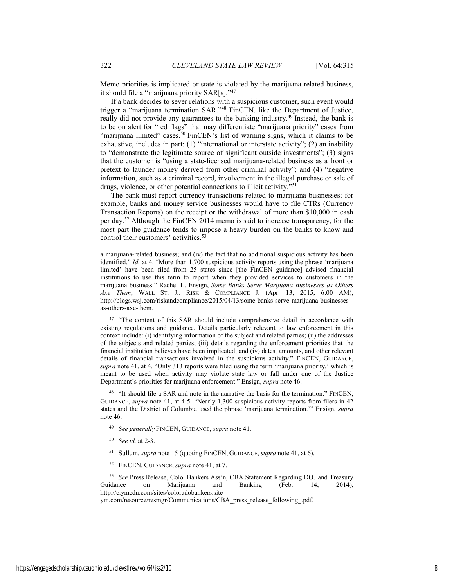Memo priorities is implicated or state is violated by the marijuana-related business, it should file a "marijuana priority SAR[s]."47

If a bank decides to sever relations with a suspicious customer, such event would trigger a "marijuana termination SAR."48 FinCEN, like the Department of Justice, really did not provide any guarantees to the banking industry.49 Instead, the bank is to be on alert for "red flags" that may differentiate "marijuana priority" cases from "marijuana limited" cases.<sup>50</sup> FinCEN's list of warning signs, which it claims to be exhaustive, includes in part: (1) "international or interstate activity"; (2) an inability to "demonstrate the legitimate source of significant outside investments"; (3) signs that the customer is "using a state-licensed marijuana-related business as a front or pretext to launder money derived from other criminal activity"; and (4) "negative information, such as a criminal record, involvement in the illegal purchase or sale of drugs, violence, or other potential connections to illicit activity."51

The bank must report currency transactions related to marijuana businesses; for example, banks and money service businesses would have to file CTRs (Currency Transaction Reports) on the receipt or the withdrawal of more than \$10,000 in cash per day.52 Although the FinCEN 2014 memo is said to increase transparency, for the most part the guidance tends to impose a heavy burden on the banks to know and control their customers' activities.<sup>53</sup>

<sup>47</sup> "The content of this SAR should include comprehensive detail in accordance with existing regulations and guidance. Details particularly relevant to law enforcement in this context include: (i) identifying information of the subject and related parties; (ii) the addresses of the subjects and related parties; (iii) details regarding the enforcement priorities that the financial institution believes have been implicated; and (iv) dates, amounts, and other relevant details of financial transactions involved in the suspicious activity." FINCEN, GUIDANCE, *supra* note 41, at 4. "Only 313 reports were filed using the term 'marijuana priority,' which is meant to be used when activity may violate state law or fall under one of the Justice Department's priorities for marijuana enforcement." Ensign, *supra* note 46.

<sup>48</sup> "It should file a SAR and note in the narrative the basis for the termination." FINCEN, GUIDANCE, *supra* note 41, at 4-5. "Nearly 1,300 suspicious activity reports from filers in 42 states and the District of Columbia used the phrase 'marijuana termination.'" Ensign, *supra* note 46.

- 49 *See generally* FINCEN, GUIDANCE, *supra* note 41.
- 50 *See id.* at 2-3.
- 51 Sullum, *supra* note 15 (quoting FINCEN, GUIDANCE, *supra* note 41, at 6).
- 52 FINCEN, GUIDANCE, *supra* note 41, at 7.

53 *See* Press Release, Colo. Bankers Ass'n, CBA Statement Regarding DOJ and Treasury Guidance on Marijuana and Banking (Feb. 14, 2014), http://c.ymcdn.com/sites/coloradobankers.site-

ym.com/resource/resmgr/Communications/CBA\_press\_release\_following\_.pdf.

l

a marijuana-related business; and (iv) the fact that no additional suspicious activity has been identified." *Id.* at 4. "More than 1,700 suspicious activity reports using the phrase 'marijuana limited' have been filed from 25 states since [the FinCEN guidance] advised financial institutions to use this term to report when they provided services to customers in the marijuana business." Rachel L. Ensign, *Some Banks Serve Marijuana Businesses as Others Axe Them*, WALL ST. J.: RISK & COMPLIANCE J. (Apr. 13, 2015, 6:00 AM), http://blogs.wsj.com/riskandcompliance/2015/04/13/some-banks-serve-marijuana-businessesas-others-axe-them.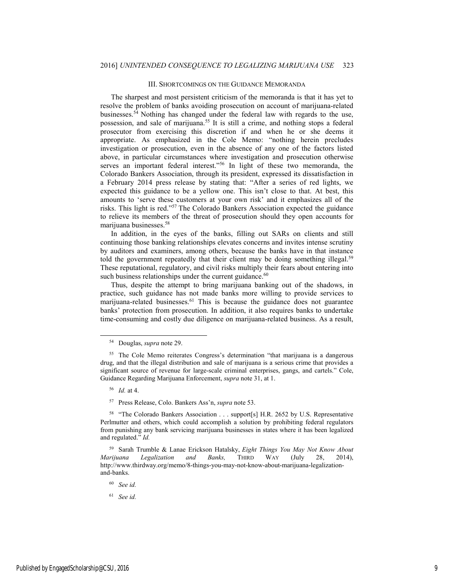#### III. SHORTCOMINGS ON THE GUIDANCE MEMORANDA

The sharpest and most persistent criticism of the memoranda is that it has yet to resolve the problem of banks avoiding prosecution on account of marijuana-related businesses.54 Nothing has changed under the federal law with regards to the use, possession, and sale of marijuana.55 It is still a crime, and nothing stops a federal prosecutor from exercising this discretion if and when he or she deems it appropriate. As emphasized in the Cole Memo: "nothing herein precludes investigation or prosecution, even in the absence of any one of the factors listed above, in particular circumstances where investigation and prosecution otherwise serves an important federal interest."56 In light of these two memoranda, the Colorado Bankers Association, through its president, expressed its dissatisfaction in a February 2014 press release by stating that: "After a series of red lights, we expected this guidance to be a yellow one. This isn't close to that. At best, this amounts to 'serve these customers at your own risk' and it emphasizes all of the risks. This light is red."57 The Colorado Bankers Association expected the guidance to relieve its members of the threat of prosecution should they open accounts for marijuana businesses.58

In addition, in the eyes of the banks, filling out SARs on clients and still continuing those banking relationships elevates concerns and invites intense scrutiny by auditors and examiners, among others, because the banks have in that instance told the government repeatedly that their client may be doing something illegal.<sup>59</sup> These reputational, regulatory, and civil risks multiply their fears about entering into such business relationships under the current guidance.<sup>60</sup>

Thus, despite the attempt to bring marijuana banking out of the shadows, in practice, such guidance has not made banks more willing to provide services to marijuana-related businesses.<sup>61</sup> This is because the guidance does not guarantee banks' protection from prosecution. In addition, it also requires banks to undertake time-consuming and costly due diligence on marijuana-related business. As a result,

56 *Id.* at 4.

57 Press Release, Colo. Bankers Ass'n, *supra* note 53.

 <sup>54</sup> Douglas, *supra* note 29.

<sup>55</sup> The Cole Memo reiterates Congress's determination "that marijuana is a dangerous drug, and that the illegal distribution and sale of marijuana is a serious crime that provides a significant source of revenue for large-scale criminal enterprises, gangs, and cartels." Cole, Guidance Regarding Marijuana Enforcement, *supra* note 31, at 1.

<sup>&</sup>lt;sup>58</sup> "The Colorado Bankers Association . . . support[s] H.R. 2652 by U.S. Representative Perlmutter and others, which could accomplish a solution by prohibiting federal regulators from punishing any bank servicing marijuana businesses in states where it has been legalized and regulated." *Id.*

<sup>59</sup> Sarah Trumble & Lanae Erickson Hatalsky, *Eight Things You May Not Know About Marijuana Legalization and Banks,* THIRD WAY (July 28, 2014), http://www.thirdway.org/memo/8-things-you-may-not-know-about-marijuana-legalizationand-banks.

<sup>60</sup> *See id.*

<sup>61</sup> *See id.*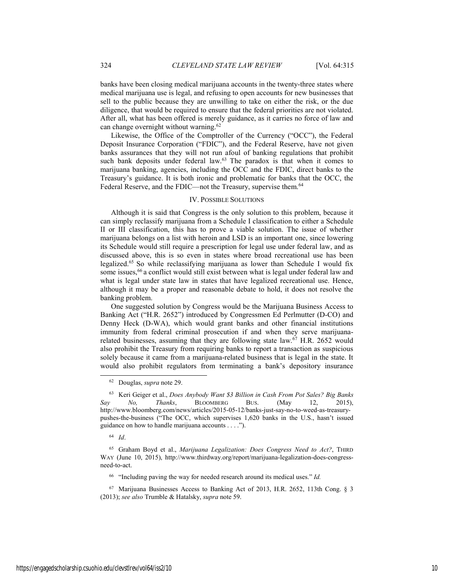banks have been closing medical marijuana accounts in the twenty-three states where medical marijuana use is legal, and refusing to open accounts for new businesses that sell to the public because they are unwilling to take on either the risk, or the due diligence, that would be required to ensure that the federal priorities are not violated. After all, what has been offered is merely guidance, as it carries no force of law and can change overnight without warning.<sup>62</sup>

Likewise, the Office of the Comptroller of the Currency ("OCC"), the Federal Deposit Insurance Corporation ("FDIC"), and the Federal Reserve, have not given banks assurances that they will not run afoul of banking regulations that prohibit such bank deposits under federal law.<sup>63</sup> The paradox is that when it comes to marijuana banking, agencies, including the OCC and the FDIC, direct banks to the Treasury's guidance. It is both ironic and problematic for banks that the OCC, the Federal Reserve, and the FDIC—not the Treasury, supervise them.<sup>64</sup>

#### IV. POSSIBLE SOLUTIONS

Although it is said that Congress is the only solution to this problem, because it can simply reclassify marijuana from a Schedule I classification to either a Schedule II or III classification, this has to prove a viable solution. The issue of whether marijuana belongs on a list with heroin and LSD is an important one, since lowering its Schedule would still require a prescription for legal use under federal law, and as discussed above, this is so even in states where broad recreational use has been legalized.65 So while reclassifying marijuana as lower than Schedule I would fix some issues,<sup>66</sup> a conflict would still exist between what is legal under federal law and what is legal under state law in states that have legalized recreational use. Hence, although it may be a proper and reasonable debate to hold, it does not resolve the banking problem.

One suggested solution by Congress would be the Marijuana Business Access to Banking Act ("H.R. 2652") introduced by Congressmen Ed Perlmutter (D-CO) and Denny Heck (D-WA), which would grant banks and other financial institutions immunity from federal criminal prosecution if and when they serve marijuanarelated businesses, assuming that they are following state law. $67$  H.R. 2652 would also prohibit the Treasury from requiring banks to report a transaction as suspicious solely because it came from a marijuana-related business that is legal in the state. It would also prohibit regulators from terminating a bank's depository insurance

64 *Id*.

66 "Including paving the way for needed research around its medical uses." *Id.*

 <sup>62</sup> Douglas, *supra* note 29.

<sup>63</sup> Keri Geiger et al., *Does Anybody Want \$3 Billion in Cash From Pot Sales? Big Banks Say No, Thanks*, BLOOMBERG BUS. (May 12, 2015), http://www.bloomberg.com/news/articles/2015-05-12/banks-just-say-no-to-weed-as-treasurypushes-the-business ("The OCC, which supervises 1,620 banks in the U.S., hasn't issued guidance on how to handle marijuana accounts . . . .").

<sup>65</sup> Graham Boyd et al., *Marijuana Legalization: Does Congress Need to Act?*, THIRD WAY (June 10, 2015), http://www.thirdway.org/report/marijuana-legalization-does-congressneed-to-act.

<sup>67</sup> Marijuana Businesses Access to Banking Act of 2013, H.R. 2652, 113th Cong. § 3 (2013); *see also* Trumble & Hatalsky, *supra* note 59.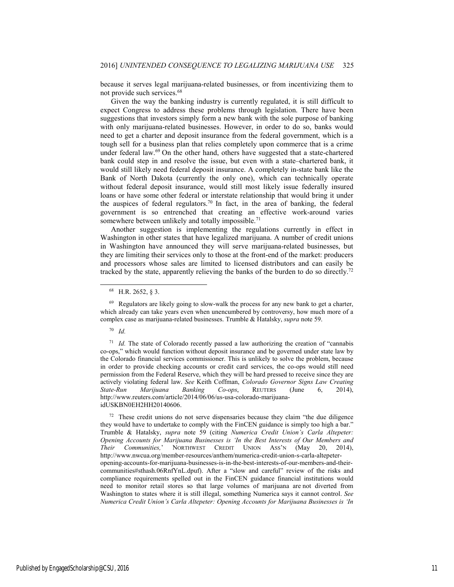because it serves legal marijuana-related businesses, or from incentivizing them to not provide such services.68

Given the way the banking industry is currently regulated, it is still difficult to expect Congress to address these problems through legislation. There have been suggestions that investors simply form a new bank with the sole purpose of banking with only marijuana-related businesses. However, in order to do so, banks would need to get a charter and deposit insurance from the federal government, which is a tough sell for a business plan that relies completely upon commerce that is a crime under federal law.<sup>69</sup> On the other hand, others have suggested that a state-chartered bank could step in and resolve the issue, but even with a state–chartered bank, it would still likely need federal deposit insurance. A completely in-state bank like the Bank of North Dakota (currently the only one), which can technically operate without federal deposit insurance, would still most likely issue federally insured loans or have some other federal or interstate relationship that would bring it under the auspices of federal regulators.<sup>70</sup> In fact, in the area of banking, the federal government is so entrenched that creating an effective work-around varies somewhere between unlikely and totally impossible.<sup>71</sup>

Another suggestion is implementing the regulations currently in effect in Washington in other states that have legalized marijuana. A number of credit unions in Washington have announced they will serve marijuana-related businesses, but they are limiting their services only to those at the front-end of the market: producers and processors whose sales are limited to licensed distributors and can easily be tracked by the state, apparently relieving the banks of the burden to do so directly.<sup>72</sup>

 $72$  These credit unions do not serve dispensaries because they claim "the due diligence" they would have to undertake to comply with the FinCEN guidance is simply too high a bar." Trumble & Hatalsky, *supra* note 59 (citing *Numerica Credit Union's Carla Altepeter: Opening Accounts for Marijuana Businesses is 'In the Best Interests of Our Members and Their Communities,*' NORTHWEST CREDIT UNION ASS'N (May 20, 2014), http://www.nwcua.org/member-resources/anthem/numerica-credit-union-s-carla-altepeteropening-accounts-for-marijuana-businesses-is-in-the-best-interests-of-our-members-and-theircommunities#sthash.06RnfYnL.dpuf). After a "slow and careful" review of the risks and compliance requirements spelled out in the FinCEN guidance financial institutions would need to monitor retail stores so that large volumes of marijuana are not diverted from Washington to states where it is still illegal, something Numerica says it cannot control. *See Numerica Credit Union's Carla Altepeter: Opening Accounts for Marijuana Businesses is 'In* 

 <sup>68</sup> H.R. 2652, § 3.

<sup>&</sup>lt;sup>69</sup> Regulators are likely going to slow-walk the process for any new bank to get a charter, which already can take years even when unencumbered by controversy, how much more of a complex case as marijuana-related businesses. Trumble & Hatalsky, *supra* note 59.

<sup>70</sup> *Id.*

<sup>&</sup>lt;sup>71</sup> *Id.* The state of Colorado recently passed a law authorizing the creation of "cannabis" co-ops," which would function without deposit insurance and be governed under state law by the Colorado financial services commissioner. This is unlikely to solve the problem, because in order to provide checking accounts or credit card services, the co-ops would still need permission from the Federal Reserve, which they will be hard pressed to receive since they are actively violating federal law. *See* Keith Coffman, *Colorado Governor Signs Law Creating State-Run Marijuana Banking Co-ops*, REUTERS (June 6, 2014), http://www.reuters.com/article/2014/06/06/us-usa-colorado-marijuanaidUSKBN0EH2HH20140606.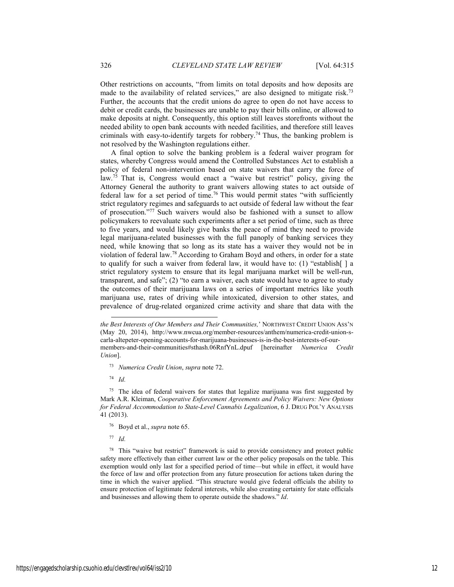Other restrictions on accounts, "from limits on total deposits and how deposits are made to the availability of related services," are also designed to mitigate risk.<sup>73</sup> Further, the accounts that the credit unions do agree to open do not have access to debit or credit cards, the businesses are unable to pay their bills online, or allowed to make deposits at night. Consequently, this option still leaves storefronts without the needed ability to open bank accounts with needed facilities, and therefore still leaves criminals with easy-to-identify targets for robbery.<sup>74</sup> Thus, the banking problem is not resolved by the Washington regulations either.

A final option to solve the banking problem is a federal waiver program for states, whereby Congress would amend the Controlled Substances Act to establish a policy of federal non-intervention based on state waivers that carry the force of law.<sup>75</sup> That is, Congress would enact a "waive but restrict" policy, giving the Attorney General the authority to grant waivers allowing states to act outside of federal law for a set period of time.<sup>76</sup> This would permit states "with sufficiently strict regulatory regimes and safeguards to act outside of federal law without the fear of prosecution."77 Such waivers would also be fashioned with a sunset to allow policymakers to reevaluate such experiments after a set period of time, such as three to five years, and would likely give banks the peace of mind they need to provide legal marijuana-related businesses with the full panoply of banking services they need, while knowing that so long as its state has a waiver they would not be in violation of federal law.78 According to Graham Boyd and others, in order for a state to qualify for such a waiver from federal law, it would have to: (1) "establish[ ] a strict regulatory system to ensure that its legal marijuana market will be well-run, transparent, and safe"; (2) "to earn a waiver, each state would have to agree to study the outcomes of their marijuana laws on a series of important metrics like youth marijuana use, rates of driving while intoxicated, diversion to other states, and prevalence of drug-related organized crime activity and share that data with the

73 *Numerica Credit Union*, *supra* note 72.

74 *Id.*

l

 $75$  The idea of federal waivers for states that legalize marijuana was first suggested by Mark A.R. Kleiman, *Cooperative Enforcement Agreements and Policy Waivers: New Options for Federal Accommodation to State-Level Cannabis Legalization*, 6 J. DRUG POL'Y ANALYSIS 41 (2013).

- 76 Boyd et al., *supra* note 65.
- 77 *Id.*

<sup>78</sup> This "waive but restrict" framework is said to provide consistency and protect public safety more effectively than either current law or the other policy proposals on the table. This exemption would only last for a specified period of time—but while in effect, it would have the force of law and offer protection from any future prosecution for actions taken during the time in which the waiver applied. "This structure would give federal officials the ability to ensure protection of legitimate federal interests, while also creating certainty for state officials and businesses and allowing them to operate outside the shadows." *Id*.

*the Best Interests of Our Members and Their Communities,*' NORTHWEST CREDIT UNION ASS'N (May 20, 2014), http://www.nwcua.org/member-resources/anthem/numerica-credit-union-scarla-altepeter-opening-accounts-for-marijuana-businesses-is-in-the-best-interests-of-ourmembers-and-their-communities#sthash.06RnfYnL.dpuf [hereinafter *Numerica Credit Union*].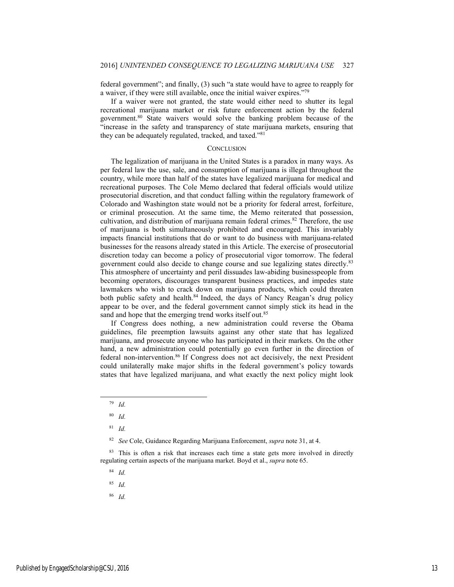federal government"; and finally, (3) such "a state would have to agree to reapply for a waiver, if they were still available, once the initial waiver expires."79

If a waiver were not granted, the state would either need to shutter its legal recreational marijuana market or risk future enforcement action by the federal government.80 State waivers would solve the banking problem because of the "increase in the safety and transparency of state marijuana markets, ensuring that they can be adequately regulated, tracked, and taxed."81

#### **CONCLUSION**

The legalization of marijuana in the United States is a paradox in many ways. As per federal law the use, sale, and consumption of marijuana is illegal throughout the country, while more than half of the states have legalized marijuana for medical and recreational purposes. The Cole Memo declared that federal officials would utilize prosecutorial discretion, and that conduct falling within the regulatory framework of Colorado and Washington state would not be a priority for federal arrest, forfeiture, or criminal prosecution. At the same time, the Memo reiterated that possession, cultivation, and distribution of marijuana remain federal crimes.<sup>82</sup> Therefore, the use of marijuana is both simultaneously prohibited and encouraged. This invariably impacts financial institutions that do or want to do business with marijuana-related businesses for the reasons already stated in this Article. The exercise of prosecutorial discretion today can become a policy of prosecutorial vigor tomorrow. The federal government could also decide to change course and sue legalizing states directly.83 This atmosphere of uncertainty and peril dissuades law-abiding businesspeople from becoming operators, discourages transparent business practices, and impedes state lawmakers who wish to crack down on marijuana products, which could threaten both public safety and health.<sup>84</sup> Indeed, the days of Nancy Reagan's drug policy appear to be over, and the federal government cannot simply stick its head in the sand and hope that the emerging trend works itself out.<sup>85</sup>

If Congress does nothing, a new administration could reverse the Obama guidelines, file preemption lawsuits against any other state that has legalized marijuana, and prosecute anyone who has participated in their markets. On the other hand, a new administration could potentially go even further in the direction of federal non-intervention.86 If Congress does not act decisively, the next President could unilaterally make major shifts in the federal government's policy towards states that have legalized marijuana, and what exactly the next policy might look

84 *Id.*

85 *Id.*

86 *Id.*

 <sup>79</sup> *Id.*

<sup>80</sup> *Id.*

<sup>81</sup> *Id.* 

<sup>82</sup> *See* Cole, Guidance Regarding Marijuana Enforcement, *supra* note 31, at 4.

<sup>&</sup>lt;sup>83</sup> This is often a risk that increases each time a state gets more involved in directly regulating certain aspects of the marijuana market. Boyd et al., *supra* note 65.